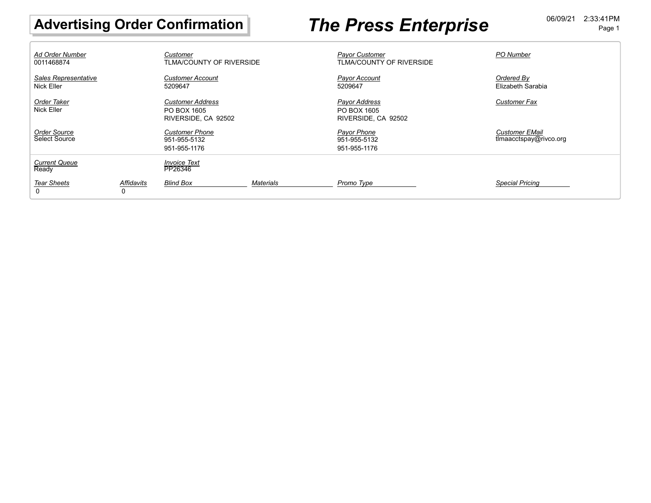# Advertising Order Confirmation **The Press Enterprise DECALL Advertising Order Confirmation**

| <b>Ad Order Number</b><br>0011468874 |                 | Customer<br>TLMA/COUNTY OF RIVERSIDE                          |           | <b>Pavor Customer</b><br>TLMA/COUNTY OF RIVERSIDE   | <b>PO Number</b>                                |
|--------------------------------------|-----------------|---------------------------------------------------------------|-----------|-----------------------------------------------------|-------------------------------------------------|
| Sales Representative<br>Nick Eller   |                 | <b>Customer Account</b><br>5209647                            |           | Payor Account<br>5209647                            | Ordered By<br>Elizabeth Sarabia                 |
| Order Taker<br>Nick Eller            |                 | <b>Customer Address</b><br>PO BOX 1605<br>RIVERSIDE, CA 92502 |           | Payor Address<br>PO BOX 1605<br>RIVERSIDE, CA 92502 | <b>Customer Fax</b>                             |
| Order Source<br>Select Source        |                 | <b>Customer Phone</b><br>951-955-5132<br>951-955-1176         |           | Payor Phone<br>951-955-5132<br>951-955-1176         | <b>Customer EMail</b><br>tlmaacctspay@rivco.org |
| <b>Current Queue</b><br>Ready        |                 | <b>Invoice Text</b><br>PP26346                                |           |                                                     |                                                 |
| <b>Tear Sheets</b><br>$\Omega$       | Affidavits<br>0 | <b>Blind Box</b>                                              | Materials | Promo Type                                          | <b>Special Pricing</b>                          |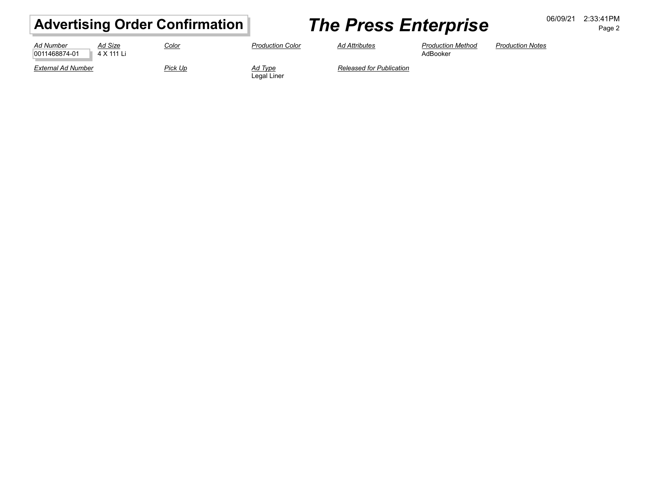# Advertising Order Confirmation **7he Press Enterprise DECALL DECISION** Page 2

Page 2

| Ad Size<br><b>Ad Number</b><br>0011468874-01<br>4 X 111 Li | <u>Color</u> | <b>Production Color</b> | <b>Ad Attributes</b>            | <b>Production Method</b><br>AdBooker | <b>Production Notes</b> |
|------------------------------------------------------------|--------------|-------------------------|---------------------------------|--------------------------------------|-------------------------|
| External Ad Number                                         | Pick Up      | Ad Type<br>Legal Liner  | <b>Released for Publication</b> |                                      |                         |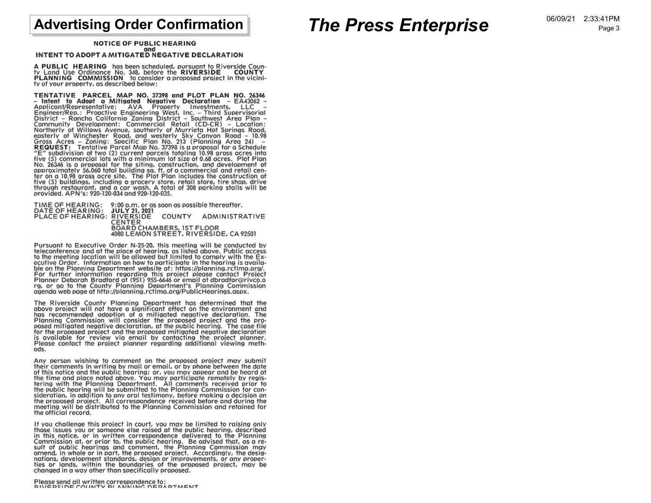## **Advertising Order Confirmation**

## **The Press Enterprise**

**NOTICE OF PUBLIC HEARING** and

## INTENT TO ADOPT A MITIGATED NEGATIVE DECLARATION

A PUBLIC HEARING has been scheduled, pursuant to Riverside County Land Use Ordinance No. 348, before the RIVERSIDE COUNTY<br>PLANNING COMMISSION to consider a proposed project in the vicinity of your property, as described below:

TENTATIVE PARCEL MAP NO. 37398 and PLOT PLAN NO. 26346<br>- Intent to Adopt a Miligarted Negative Declaration - EA43062<br>- Applicant/Representative: AVA Property Investments, LLC -<br>Engineer/Rep.: Proactive Engineering West, In TENTATIVE PARCEL MAP NO. 37398 and PLOT PLAN NO. 26346 The (5) commercial lots with a minimum for size of 0.08 access. Flore 10.08 as a proposal for the siting, construction, and development of approximately 56,060 total building sq. ft. of a commercial and retail center on a

TIME OF HEARING: 9:00 a.m. or as soon as possible thereafter.<br>DATE OF HEARING: JULY 21, 2021 PLACE OF HEARING: RIVERSIDE COUNTY ADMINISTRATIVE CENTER BOARD CHAMBERS, IST FLOOR 4080 LEMON STREET, RIVERSIDE, CA 92501

Pursuant to Executive Order N-25-20, this meeting will be conducted by teleconference and at the place of hearing, as listed above. Public access to the meeting location will be allowed but limited to comply with the Executive Order. Information on how to participate in the hearing is availa-Exercise of the Planning Department website at: https://planning.rctlma.org/.<br>For further information regarding this project please contact Project<br>Planning Department website at: https://planning.rctlma.org/.<br>For further

The Riverside County Planning Department has determined that the above project will not have a significant effect on the environment and has recommended adoption of a mitigated negative declaration. The Planning Commission will consider the proposed project and the pro-<br>posed mitigated negative declaration, at the public hearing. The case file for the proposed project and the proposed mitigated negative declaration is available for review via email by contacting the project planner. Please contact the project planner regarding additional viewing methods.

Any person wishing to comment on the proposed project may submit their comments in writing by mail or email, or by phone between the date of this notice and the public hearing; or, you may appear and be heard at the time and place noted above. You may participate remotely by registering with the Planning Department. All comments received prior to the public hearing will be submitted to the Planning Commission for consideration, in addition to any oral testimony, before making a decision on the proposed project. All correspondence received before and during the meeting will be distributed to the Planning Commission and retained for the official record.

If you challenge this project in court, you may be limited to raising only those issues you or someone else raised at the public hearing, described in this notice, or in written correspondence delivered to the Planning Commission at, or prior to, the public hearing. Be advised that, as a re-<br>sult of public hearings and comment, the Planning Commission may<br>amend, in whole or in part, the proposed project. Accordingly, the designations, development standards, design or improvements, or any properties or lands, within the boundaries of the proposed project, may be changed in a way other than specifically proposed.

Please send all written correspondence to:<br>PIVERSIDE COUNTY PLANNING DEPARTMENT